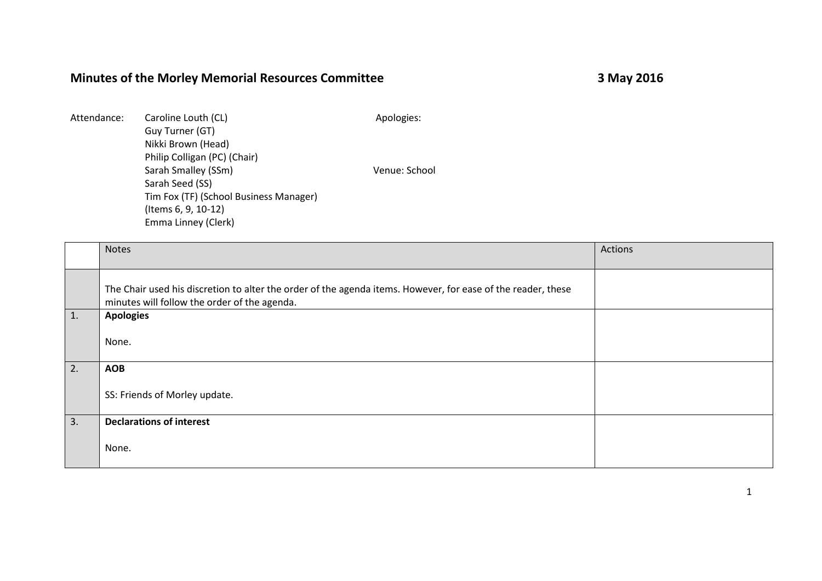## **Minutes of the Morley Memorial Resources Committee 3 May 2016**

| Attendance: | Caroline Louth (CL)                    | Apologies:    |
|-------------|----------------------------------------|---------------|
|             | Guy Turner (GT)                        |               |
|             | Nikki Brown (Head)                     |               |
|             | Philip Colligan (PC) (Chair)           |               |
|             | Sarah Smalley (SSm)                    | Venue: School |
|             | Sarah Seed (SS)                        |               |
|             | Tim Fox (TF) (School Business Manager) |               |
|             | (Items 6, 9, 10-12)                    |               |
|             | Emma Linney (Clerk)                    |               |
|             |                                        |               |

|    | <b>Notes</b>                                                                                                                                                 | Actions |
|----|--------------------------------------------------------------------------------------------------------------------------------------------------------------|---------|
|    | The Chair used his discretion to alter the order of the agenda items. However, for ease of the reader, these<br>minutes will follow the order of the agenda. |         |
| 1. | <b>Apologies</b><br>None.                                                                                                                                    |         |
| 2. | <b>AOB</b><br>SS: Friends of Morley update.                                                                                                                  |         |
| 3. | <b>Declarations of interest</b><br>None.                                                                                                                     |         |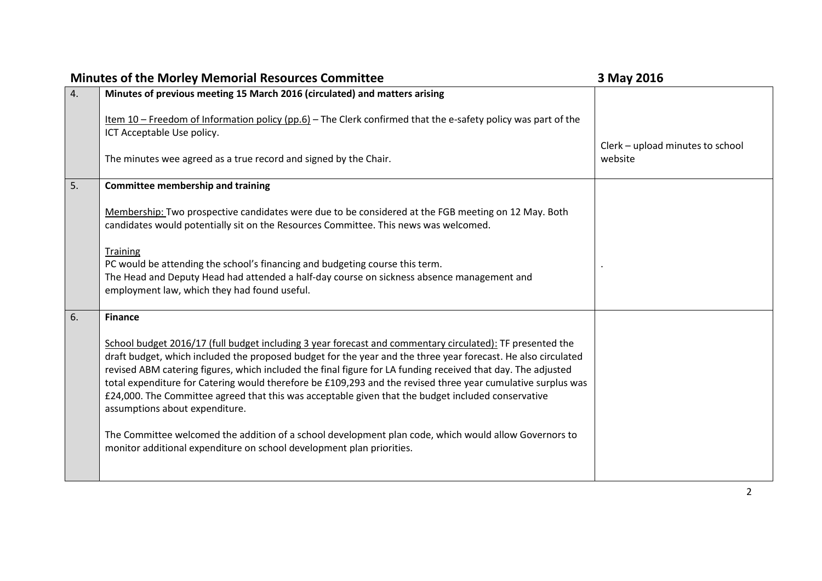| <b>Minutes of the Morley Memorial Resources Committee</b> |                                                                                                                                                                                                                                                                                                                                                                                                                                                                                                                                                                                                    | 3 May 2016                                  |
|-----------------------------------------------------------|----------------------------------------------------------------------------------------------------------------------------------------------------------------------------------------------------------------------------------------------------------------------------------------------------------------------------------------------------------------------------------------------------------------------------------------------------------------------------------------------------------------------------------------------------------------------------------------------------|---------------------------------------------|
| 4.                                                        | Minutes of previous meeting 15 March 2016 (circulated) and matters arising                                                                                                                                                                                                                                                                                                                                                                                                                                                                                                                         |                                             |
|                                                           | Item $10$ – Freedom of Information policy (pp.6) – The Clerk confirmed that the e-safety policy was part of the<br>ICT Acceptable Use policy.                                                                                                                                                                                                                                                                                                                                                                                                                                                      |                                             |
|                                                           | The minutes wee agreed as a true record and signed by the Chair.                                                                                                                                                                                                                                                                                                                                                                                                                                                                                                                                   | Clerk - upload minutes to school<br>website |
| 5.                                                        | <b>Committee membership and training</b>                                                                                                                                                                                                                                                                                                                                                                                                                                                                                                                                                           |                                             |
|                                                           | Membership: Two prospective candidates were due to be considered at the FGB meeting on 12 May. Both<br>candidates would potentially sit on the Resources Committee. This news was welcomed.                                                                                                                                                                                                                                                                                                                                                                                                        |                                             |
|                                                           | <b>Training</b><br>PC would be attending the school's financing and budgeting course this term.<br>The Head and Deputy Head had attended a half-day course on sickness absence management and<br>employment law, which they had found useful.                                                                                                                                                                                                                                                                                                                                                      |                                             |
| 6.                                                        | <b>Finance</b>                                                                                                                                                                                                                                                                                                                                                                                                                                                                                                                                                                                     |                                             |
|                                                           | School budget 2016/17 (full budget including 3 year forecast and commentary circulated): TF presented the<br>draft budget, which included the proposed budget for the year and the three year forecast. He also circulated<br>revised ABM catering figures, which included the final figure for LA funding received that day. The adjusted<br>total expenditure for Catering would therefore be £109,293 and the revised three year cumulative surplus was<br>£24,000. The Committee agreed that this was acceptable given that the budget included conservative<br>assumptions about expenditure. |                                             |
|                                                           | The Committee welcomed the addition of a school development plan code, which would allow Governors to<br>monitor additional expenditure on school development plan priorities.                                                                                                                                                                                                                                                                                                                                                                                                                     |                                             |
|                                                           |                                                                                                                                                                                                                                                                                                                                                                                                                                                                                                                                                                                                    |                                             |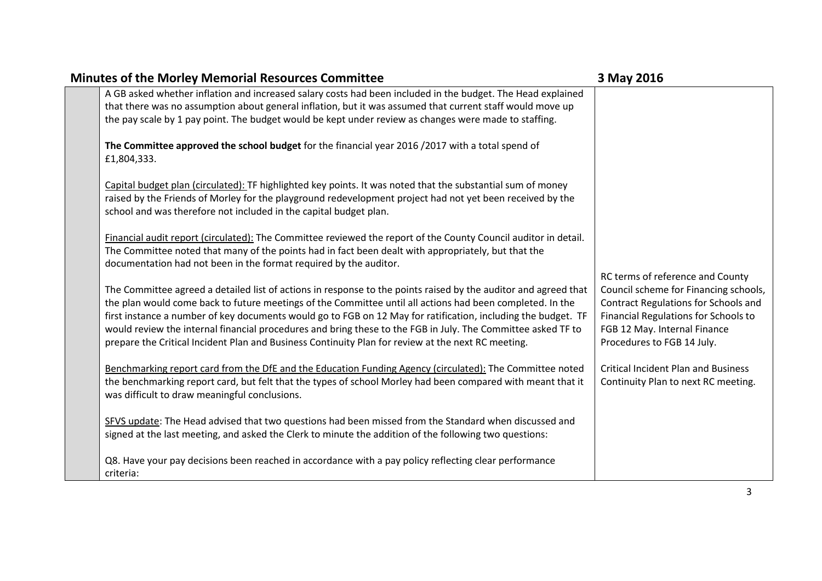| <b>Minutes of the Morley Memorial Resources Committee</b> |                                                                                                                 | 3 May 2016                                                                |
|-----------------------------------------------------------|-----------------------------------------------------------------------------------------------------------------|---------------------------------------------------------------------------|
|                                                           | A GB asked whether inflation and increased salary costs had been included in the budget. The Head explained     |                                                                           |
|                                                           | that there was no assumption about general inflation, but it was assumed that current staff would move up       |                                                                           |
|                                                           | the pay scale by 1 pay point. The budget would be kept under review as changes were made to staffing.           |                                                                           |
|                                                           |                                                                                                                 |                                                                           |
|                                                           | The Committee approved the school budget for the financial year 2016 /2017 with a total spend of                |                                                                           |
|                                                           | £1,804,333.                                                                                                     |                                                                           |
|                                                           | Capital budget plan (circulated): TF highlighted key points. It was noted that the substantial sum of money     |                                                                           |
|                                                           | raised by the Friends of Morley for the playground redevelopment project had not yet been received by the       |                                                                           |
|                                                           | school and was therefore not included in the capital budget plan.                                               |                                                                           |
|                                                           |                                                                                                                 |                                                                           |
|                                                           | Financial audit report (circulated): The Committee reviewed the report of the County Council auditor in detail. |                                                                           |
|                                                           | The Committee noted that many of the points had in fact been dealt with appropriately, but that the             |                                                                           |
|                                                           | documentation had not been in the format required by the auditor.                                               |                                                                           |
|                                                           | The Committee agreed a detailed list of actions in response to the points raised by the auditor and agreed that | RC terms of reference and County<br>Council scheme for Financing schools, |
|                                                           | the plan would come back to future meetings of the Committee until all actions had been completed. In the       | Contract Regulations for Schools and                                      |
|                                                           | first instance a number of key documents would go to FGB on 12 May for ratification, including the budget. TF   | Financial Regulations for Schools to                                      |
|                                                           | would review the internal financial procedures and bring these to the FGB in July. The Committee asked TF to    | FGB 12 May. Internal Finance                                              |
|                                                           | prepare the Critical Incident Plan and Business Continuity Plan for review at the next RC meeting.              | Procedures to FGB 14 July.                                                |
|                                                           |                                                                                                                 |                                                                           |
|                                                           | Benchmarking report card from the DfE and the Education Funding Agency (circulated): The Committee noted        | <b>Critical Incident Plan and Business</b>                                |
|                                                           | the benchmarking report card, but felt that the types of school Morley had been compared with meant that it     | Continuity Plan to next RC meeting.                                       |
|                                                           | was difficult to draw meaningful conclusions.                                                                   |                                                                           |
|                                                           |                                                                                                                 |                                                                           |
|                                                           | SFVS update: The Head advised that two questions had been missed from the Standard when discussed and           |                                                                           |
|                                                           | signed at the last meeting, and asked the Clerk to minute the addition of the following two questions:          |                                                                           |
|                                                           | Q8. Have your pay decisions been reached in accordance with a pay policy reflecting clear performance           |                                                                           |
|                                                           | criteria:                                                                                                       |                                                                           |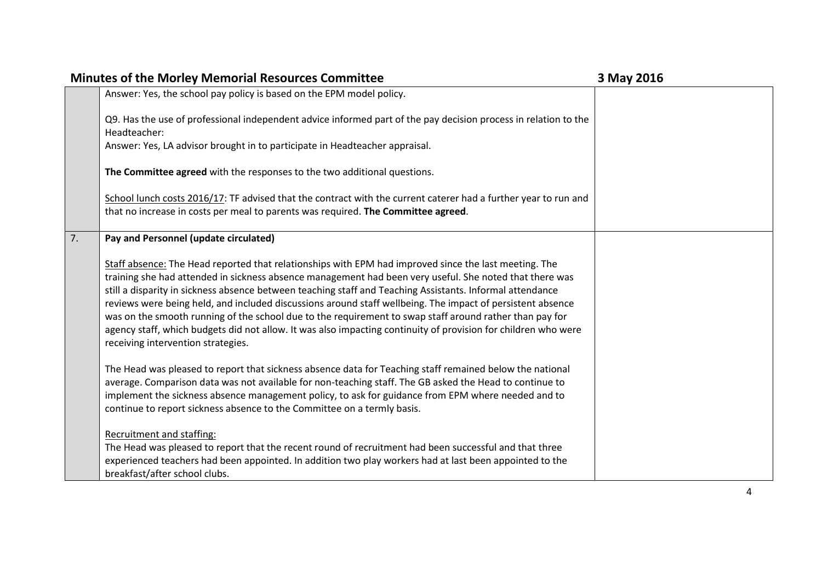|    | <b>Minutes of the Morley Memorial Resources Committee</b>                                                                                                                                                                                                                                                                                                                                                                                                                                                                                                                                                                                                                                                      | 3 May 2016 |
|----|----------------------------------------------------------------------------------------------------------------------------------------------------------------------------------------------------------------------------------------------------------------------------------------------------------------------------------------------------------------------------------------------------------------------------------------------------------------------------------------------------------------------------------------------------------------------------------------------------------------------------------------------------------------------------------------------------------------|------------|
|    | Answer: Yes, the school pay policy is based on the EPM model policy.                                                                                                                                                                                                                                                                                                                                                                                                                                                                                                                                                                                                                                           |            |
|    | Q9. Has the use of professional independent advice informed part of the pay decision process in relation to the                                                                                                                                                                                                                                                                                                                                                                                                                                                                                                                                                                                                |            |
|    | Headteacher:                                                                                                                                                                                                                                                                                                                                                                                                                                                                                                                                                                                                                                                                                                   |            |
|    | Answer: Yes, LA advisor brought in to participate in Headteacher appraisal.                                                                                                                                                                                                                                                                                                                                                                                                                                                                                                                                                                                                                                    |            |
|    | The Committee agreed with the responses to the two additional questions.                                                                                                                                                                                                                                                                                                                                                                                                                                                                                                                                                                                                                                       |            |
|    | School lunch costs 2016/17: TF advised that the contract with the current caterer had a further year to run and                                                                                                                                                                                                                                                                                                                                                                                                                                                                                                                                                                                                |            |
|    | that no increase in costs per meal to parents was required. The Committee agreed.                                                                                                                                                                                                                                                                                                                                                                                                                                                                                                                                                                                                                              |            |
| 7. | Pay and Personnel (update circulated)                                                                                                                                                                                                                                                                                                                                                                                                                                                                                                                                                                                                                                                                          |            |
|    | Staff absence: The Head reported that relationships with EPM had improved since the last meeting. The<br>training she had attended in sickness absence management had been very useful. She noted that there was<br>still a disparity in sickness absence between teaching staff and Teaching Assistants. Informal attendance<br>reviews were being held, and included discussions around staff wellbeing. The impact of persistent absence<br>was on the smooth running of the school due to the requirement to swap staff around rather than pay for<br>agency staff, which budgets did not allow. It was also impacting continuity of provision for children who were<br>receiving intervention strategies. |            |
|    | The Head was pleased to report that sickness absence data for Teaching staff remained below the national<br>average. Comparison data was not available for non-teaching staff. The GB asked the Head to continue to<br>implement the sickness absence management policy, to ask for guidance from EPM where needed and to<br>continue to report sickness absence to the Committee on a termly basis.                                                                                                                                                                                                                                                                                                           |            |
|    | Recruitment and staffing:<br>The Head was pleased to report that the recent round of recruitment had been successful and that three<br>experienced teachers had been appointed. In addition two play workers had at last been appointed to the<br>breakfast/after school clubs.                                                                                                                                                                                                                                                                                                                                                                                                                                |            |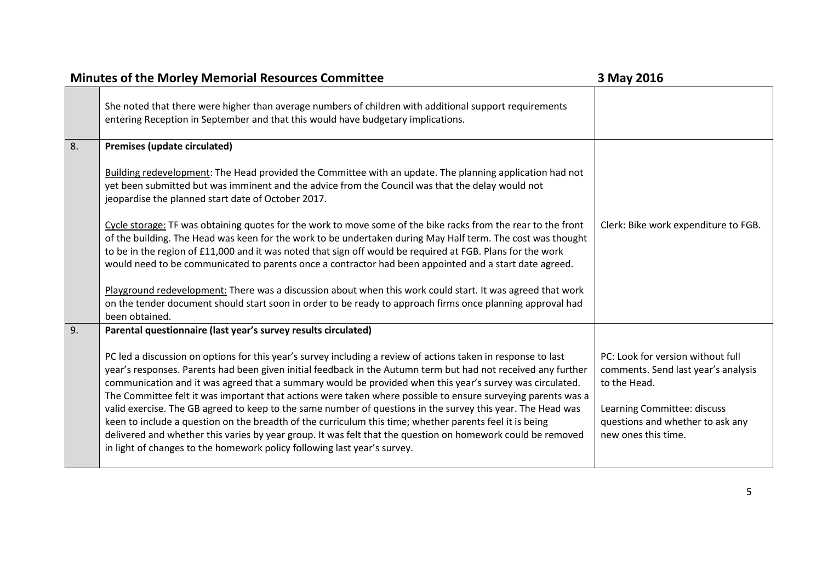| <b>Minutes of the Morley Memorial Resources Committee</b> |                                                                                                                                                                                                                                                                                                                                                                                                                                                                                                                                                                           | 3 May 2016                                                                                                              |
|-----------------------------------------------------------|---------------------------------------------------------------------------------------------------------------------------------------------------------------------------------------------------------------------------------------------------------------------------------------------------------------------------------------------------------------------------------------------------------------------------------------------------------------------------------------------------------------------------------------------------------------------------|-------------------------------------------------------------------------------------------------------------------------|
|                                                           | She noted that there were higher than average numbers of children with additional support requirements<br>entering Reception in September and that this would have budgetary implications.                                                                                                                                                                                                                                                                                                                                                                                |                                                                                                                         |
| 8.                                                        | Premises (update circulated)                                                                                                                                                                                                                                                                                                                                                                                                                                                                                                                                              |                                                                                                                         |
|                                                           | Building redevelopment: The Head provided the Committee with an update. The planning application had not<br>yet been submitted but was imminent and the advice from the Council was that the delay would not<br>jeopardise the planned start date of October 2017.                                                                                                                                                                                                                                                                                                        |                                                                                                                         |
|                                                           | Cycle storage: TF was obtaining quotes for the work to move some of the bike racks from the rear to the front<br>of the building. The Head was keen for the work to be undertaken during May Half term. The cost was thought<br>to be in the region of £11,000 and it was noted that sign off would be required at FGB. Plans for the work<br>would need to be communicated to parents once a contractor had been appointed and a start date agreed.                                                                                                                      | Clerk: Bike work expenditure to FGB.                                                                                    |
|                                                           | Playground redevelopment: There was a discussion about when this work could start. It was agreed that work<br>on the tender document should start soon in order to be ready to approach firms once planning approval had<br>been obtained.                                                                                                                                                                                                                                                                                                                                |                                                                                                                         |
| 9.                                                        | Parental questionnaire (last year's survey results circulated)                                                                                                                                                                                                                                                                                                                                                                                                                                                                                                            |                                                                                                                         |
|                                                           | PC led a discussion on options for this year's survey including a review of actions taken in response to last<br>year's responses. Parents had been given initial feedback in the Autumn term but had not received any further<br>communication and it was agreed that a summary would be provided when this year's survey was circulated.<br>The Committee felt it was important that actions were taken where possible to ensure surveying parents was a<br>valid exercise. The GB agreed to keep to the same number of questions in the survey this year. The Head was | PC: Look for version without full<br>comments. Send last year's analysis<br>to the Head.<br>Learning Committee: discuss |
|                                                           | keen to include a question on the breadth of the curriculum this time; whether parents feel it is being<br>delivered and whether this varies by year group. It was felt that the question on homework could be removed<br>in light of changes to the homework policy following last year's survey.                                                                                                                                                                                                                                                                        | questions and whether to ask any<br>new ones this time.                                                                 |